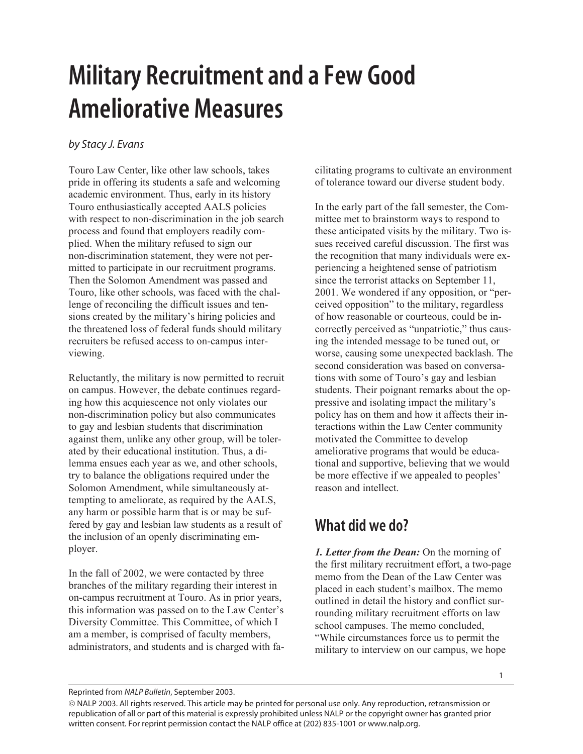## **Military Recruitment and a Few Good Ameliorative Measures**

## *by Stacy J. Evans*

Touro Law Center, like other law schools, takes pride in offering its students a safe and welcoming academic environment. Thus, early in its history Touro enthusiastically accepted AALS policies with respect to non-discrimination in the job search process and found that employers readily complied. When the military refused to sign our non-discrimination statement, they were not permitted to participate in our recruitment programs. Then the Solomon Amendment was passed and Touro, like other schools, was faced with the challenge of reconciling the difficult issues and tensions created by the military's hiring policies and the threatened loss of federal funds should military recruiters be refused access to on-campus interviewing.

Reluctantly, the military is now permitted to recruit on campus. However, the debate continues regarding how this acquiescence not only violates our non-discrimination policy but also communicates to gay and lesbian students that discrimination against them, unlike any other group, will be tolerated by their educational institution. Thus, a dilemma ensues each year as we, and other schools, try to balance the obligations required under the Solomon Amendment, while simultaneously attempting to ameliorate, as required by the AALS, any harm or possible harm that is or may be suffered by gay and lesbian law students as a result of the inclusion of an openly discriminating employer.

In the fall of 2002, we were contacted by three branches of the military regarding their interest in on-campus recruitment at Touro. As in prior years, this information was passed on to the Law Center's Diversity Committee. This Committee, of which I am a member, is comprised of faculty members, administrators, and students and is charged with facilitating programs to cultivate an environment of tolerance toward our diverse student body.

In the early part of the fall semester, the Committee met to brainstorm ways to respond to these anticipated visits by the military. Two issues received careful discussion. The first was the recognition that many individuals were experiencing a heightened sense of patriotism since the terrorist attacks on September 11, 2001. We wondered if any opposition, or "perceived opposition" to the military, regardless of how reasonable or courteous, could be incorrectly perceived as "unpatriotic," thus causing the intended message to be tuned out, or worse, causing some unexpected backlash. The second consideration was based on conversations with some of Touro's gay and lesbian students. Their poignant remarks about the oppressive and isolating impact the military's policy has on them and how it affects their interactions within the Law Center community motivated the Committee to develop ameliorative programs that would be educational and supportive, believing that we would be more effective if we appealed to peoples' reason and intellect.

## **What did we do?**

*1. Letter from the Dean:* On the morning of the first military recruitment effort, a two-page memo from the Dean of the Law Center was placed in each student's mailbox. The memo outlined in detail the history and conflict surrounding military recruitment efforts on law school campuses. The memo concluded, "While circumstances force us to permit the military to interview on our campus, we hope

Reprinted from *NALP Bulletin*, September 2003.

 NALP 2003. All rights reserved. This article may be printed for personal use only. Any reproduction, retransmission or republication of all or part of this material is expressly prohibited unless NALP or the copyright owner has granted prior written consent. For reprint permission contact the NALP office at (202) 835-1001 or www.nalp.org.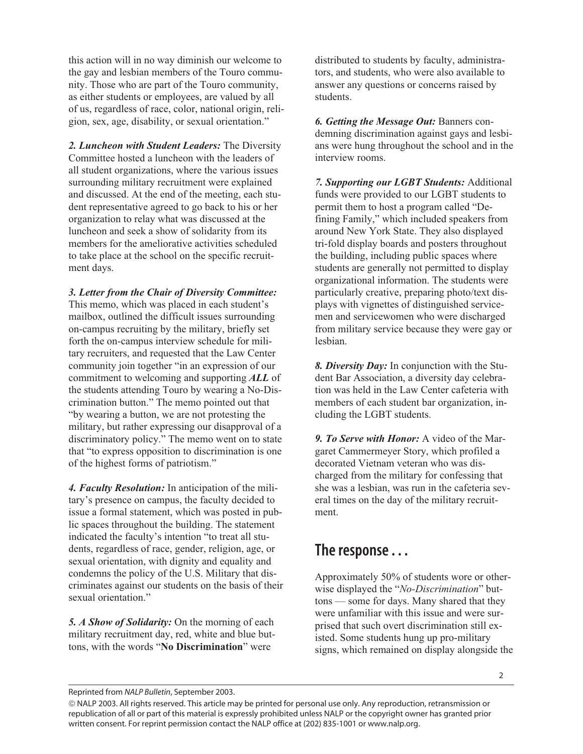this action will in no way diminish our welcome to the gay and lesbian members of the Touro community. Those who are part of the Touro community, as either students or employees, are valued by all of us, regardless of race, color, national origin, religion, sex, age, disability, or sexual orientation."

*2. Luncheon with Student Leaders:* The Diversity Committee hosted a luncheon with the leaders of all student organizations, where the various issues surrounding military recruitment were explained and discussed. At the end of the meeting, each student representative agreed to go back to his or her organization to relay what was discussed at the luncheon and seek a show of solidarity from its members for the ameliorative activities scheduled to take place at the school on the specific recruitment days.

*3. Letter from the Chair of Diversity Committee:* This memo, which was placed in each student's mailbox, outlined the difficult issues surrounding on-campus recruiting by the military, briefly set forth the on-campus interview schedule for military recruiters, and requested that the Law Center community join together "in an expression of our commitment to welcoming and supporting *ALL* of the students attending Touro by wearing a No-Discrimination button." The memo pointed out that "by wearing a button, we are not protesting the military, but rather expressing our disapproval of a discriminatory policy." The memo went on to state that "to express opposition to discrimination is one of the highest forms of patriotism."

*4. Faculty Resolution:* In anticipation of the military's presence on campus, the faculty decided to issue a formal statement, which was posted in public spaces throughout the building. The statement indicated the faculty's intention "to treat all students, regardless of race, gender, religion, age, or sexual orientation, with dignity and equality and condemns the policy of the U.S. Military that discriminates against our students on the basis of their sexual orientation."

*5. A Show of Solidarity:* On the morning of each military recruitment day, red, white and blue buttons, with the words "**No Discrimination**" were

distributed to students by faculty, administrators, and students, who were also available to answer any questions or concerns raised by students.

*6. Getting the Message Out:* Banners condemning discrimination against gays and lesbians were hung throughout the school and in the interview rooms.

*7. Supporting our LGBT Students:* Additional funds were provided to our LGBT students to permit them to host a program called "Defining Family," which included speakers from around New York State. They also displayed tri-fold display boards and posters throughout the building, including public spaces where students are generally not permitted to display organizational information. The students were particularly creative, preparing photo/text displays with vignettes of distinguished servicemen and servicewomen who were discharged from military service because they were gay or lesbian.

*8. Diversity Day:* In conjunction with the Student Bar Association, a diversity day celebration was held in the Law Center cafeteria with members of each student bar organization, including the LGBT students.

*9. To Serve with Honor:* A video of the Margaret Cammermeyer Story, which profiled a decorated Vietnam veteran who was discharged from the military for confessing that she was a lesbian, was run in the cafeteria several times on the day of the military recruitment.

## **The response . . .**

Approximately 50% of students wore or otherwise displayed the "*No-Discrimination*" buttons — some for days. Many shared that they were unfamiliar with this issue and were surprised that such overt discrimination still existed. Some students hung up pro-military signs, which remained on display alongside the

Reprinted from *NALP Bulletin*, September 2003.

 NALP 2003. All rights reserved. This article may be printed for personal use only. Any reproduction, retransmission or republication of all or part of this material is expressly prohibited unless NALP or the copyright owner has granted prior written consent. For reprint permission contact the NALP office at (202) 835-1001 or www.nalp.org.